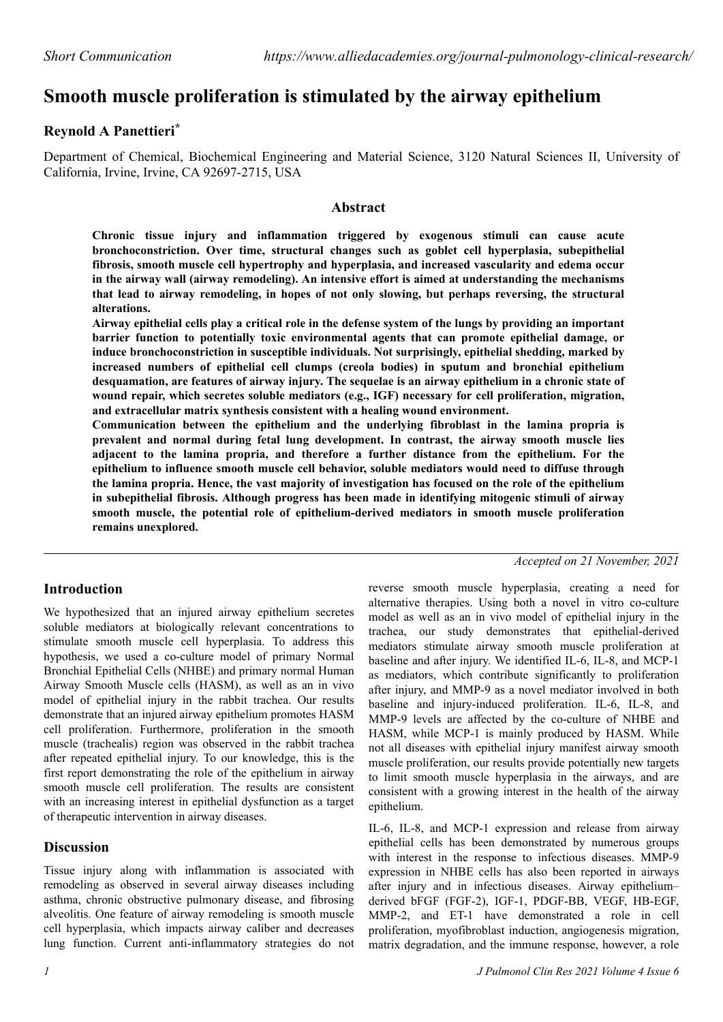# **Smooth muscle proliferation is stimulated by the airway epithelium**

## **Reynold A Panettieri\***

Department of Chemical, Biochemical Engineering and Material Science, 3120 Natural Sciences II, University of California, Irvine, Irvine, CA 92697-2715, USA

#### **Abstract**

**Chronic tissue injury and inflammation triggered by exogenous stimuli can cause acute bronchoconstriction. Over time, structural changes such as goblet cell hyperplasia, subepithelial fibrosis, smooth muscle cell hypertrophy and hyperplasia, and increased vascularity and edema occur in the airway wall (airway remodeling). An intensive effort is aimed at understanding the mechanisms that lead to airway remodeling, in hopes of not only slowing, but perhaps reversing, the structural alterations.**

**Airway epithelial cells play a critical role in the defense system of the lungs by providing an important barrier function to potentially toxic environmental agents that can promote epithelial damage, or induce bronchoconstriction in susceptible individuals. Not surprisingly, epithelial shedding, marked by increased numbers of epithelial cell clumps (creola bodies) in sputum and bronchial epithelium desquamation, are features of airway injury. The sequelae is an airway epithelium in a chronic state of wound repair, which secretes soluble mediators (e.g., IGF) necessary for cell proliferation, migration, and extracellular matrix synthesis consistent with a healing wound environment.**

**Communication between the epithelium and the underlying fibroblast in the lamina propria is prevalent and normal during fetal lung development. In contrast, the airway smooth muscle lies adjacent to the lamina propria, and therefore a further distance from the epithelium. For the epithelium to influence smooth muscle cell behavior, soluble mediators would need to diffuse through the lamina propria. Hence, the vast majority of investigation has focused on the role of the epithelium in subepithelial fibrosis. Although progress has been made in identifying mitogenic stimuli of airway smooth muscle, the potential role of epithelium-derived mediators in smooth muscle proliferation remains unexplored.**

## **Introduction**

We hypothesized that an injured airway epithelium secretes soluble mediators at biologically relevant concentrations to stimulate smooth muscle cell hyperplasia. To address this hypothesis, we used a co-culture model of primary Normal Bronchial Epithelial Cells (NHBE) and primary normal Human Airway Smooth Muscle cells (HASM), as well as an in vivo model of epithelial injury in the rabbit trachea. Our results demonstrate that an injured airway epithelium promotes HASM cell proliferation. Furthermore, proliferation in the smooth muscle (trachealis) region was observed in the rabbit trachea after repeated epithelial injury. To our knowledge, this is the first report demonstrating the role of the epithelium in airway smooth muscle cell proliferation. The results are consistent with an increasing interest in epithelial dysfunction as a target of therapeutic intervention in airway diseases.

### **Discussion**

Tissue injury along with inflammation is associated with remodeling as observed in several airway diseases including asthma, chronic obstructive pulmonary disease, and fibrosing alveolitis. One feature of airway remodeling is smooth muscle cell hyperplasia, which impacts airway caliber and decreases lung function. Current anti-inflammatory strategies do not

*Accepted on 21 November, 2021*

reverse smooth muscle hyperplasia, creating a need for alternative therapies. Using both a novel in vitro co-culture model as well as an in vivo model of epithelial injury in the trachea, our study demonstrates that epithelial-derived mediators stimulate airway smooth muscle proliferation at baseline and after injury. We identified IL-6, IL-8, and MCP-1 as mediators, which contribute significantly to proliferation after injury, and MMP-9 as a novel mediator involved in both baseline and injury-induced proliferation. IL-6, IL-8, and MMP-9 levels are affected by the co-culture of NHBE and HASM, while MCP-1 is mainly produced by HASM. While not all diseases with epithelial injury manifest airway smooth muscle proliferation, our results provide potentially new targets to limit smooth muscle hyperplasia in the airways, and are consistent with a growing interest in the health of the airway epithelium.

IL-6, IL-8, and MCP-1 expression and release from airway epithelial cells has been demonstrated by numerous groups with interest in the response to infectious diseases. MMP-9 expression in NHBE cells has also been reported in airways after injury and in infectious diseases. Airway epithelium– derived bFGF (FGF-2), IGF-1, PDGF-BB, VEGF, HB-EGF, MMP-2, and ET-1 have demonstrated a role in cell proliferation, myofibroblast induction, angiogenesis migration, matrix degradation, and the immune response, however, a role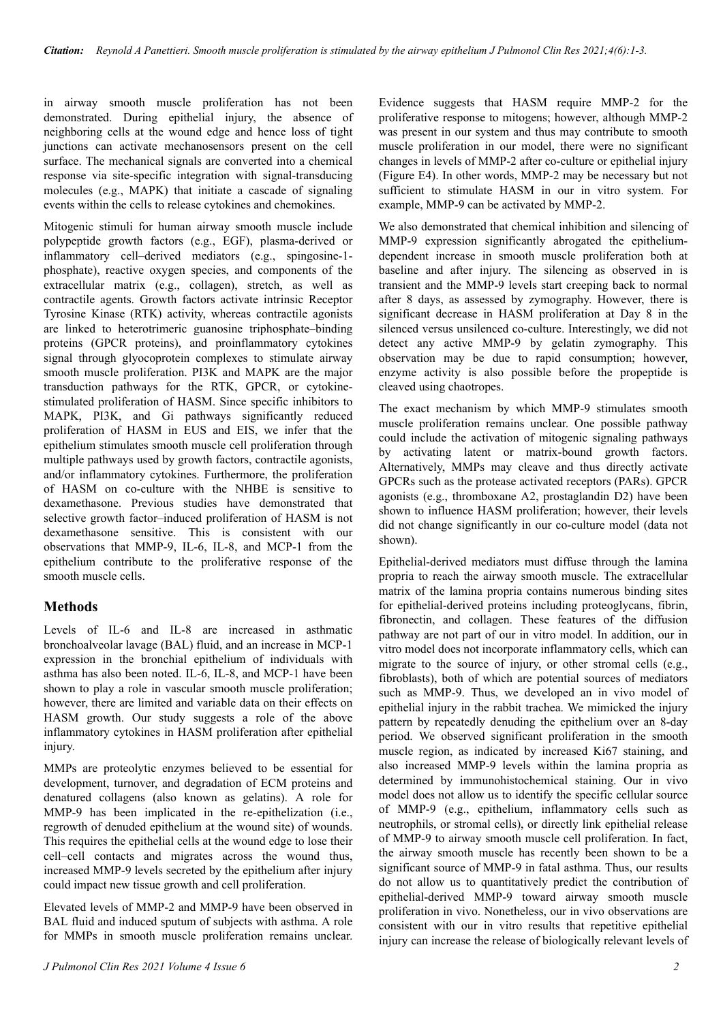in airway smooth muscle proliferation has not been demonstrated. During epithelial injury, the absence of neighboring cells at the wound edge and hence loss of tight junctions can activate mechanosensors present on the cell surface. The mechanical signals are converted into a chemical response via site-specific integration with signal-transducing molecules (e.g., MAPK) that initiate a cascade of signaling events within the cells to release cytokines and chemokines.

Mitogenic stimuli for human airway smooth muscle include polypeptide growth factors (e.g., EGF), plasma-derived or inflammatory cell–derived mediators (e.g., spingosine-1 phosphate), reactive oxygen species, and components of the extracellular matrix (e.g., collagen), stretch, as well as contractile agents. Growth factors activate intrinsic Receptor Tyrosine Kinase (RTK) activity, whereas contractile agonists are linked to heterotrimeric guanosine triphosphate–binding proteins (GPCR proteins), and proinflammatory cytokines signal through glyocoprotein complexes to stimulate airway smooth muscle proliferation. PI3K and MAPK are the major transduction pathways for the RTK, GPCR, or cytokinestimulated proliferation of HASM. Since specific inhibitors to MAPK, PI3K, and Gi pathways significantly reduced proliferation of HASM in EUS and EIS, we infer that the epithelium stimulates smooth muscle cell proliferation through multiple pathways used by growth factors, contractile agonists, and/or inflammatory cytokines. Furthermore, the proliferation of HASM on co-culture with the NHBE is sensitive to dexamethasone. Previous studies have demonstrated that selective growth factor–induced proliferation of HASM is not dexamethasone sensitive. This is consistent with our observations that MMP-9, IL-6, IL-8, and MCP-1 from the epithelium contribute to the proliferative response of the smooth muscle cells.

## **Methods**

Levels of IL-6 and IL-8 are increased in asthmatic bronchoalveolar lavage (BAL) fluid, and an increase in MCP-1 expression in the bronchial epithelium of individuals with asthma has also been noted. IL-6, IL-8, and MCP-1 have been shown to play a role in vascular smooth muscle proliferation; however, there are limited and variable data on their effects on HASM growth. Our study suggests a role of the above inflammatory cytokines in HASM proliferation after epithelial injury.

MMPs are proteolytic enzymes believed to be essential for development, turnover, and degradation of ECM proteins and denatured collagens (also known as gelatins). A role for MMP-9 has been implicated in the re-epithelization (i.e., regrowth of denuded epithelium at the wound site) of wounds. This requires the epithelial cells at the wound edge to lose their cell–cell contacts and migrates across the wound thus, increased MMP-9 levels secreted by the epithelium after injury could impact new tissue growth and cell proliferation.

Elevated levels of MMP-2 and MMP-9 have been observed in BAL fluid and induced sputum of subjects with asthma. A role for MMPs in smooth muscle proliferation remains unclear.

Evidence suggests that HASM require MMP-2 for the proliferative response to mitogens; however, although MMP-2 was present in our system and thus may contribute to smooth muscle proliferation in our model, there were no significant changes in levels of MMP-2 after co-culture or epithelial injury (Figure E4). In other words, MMP-2 may be necessary but not sufficient to stimulate HASM in our in vitro system. For example, MMP-9 can be activated by MMP-2.

We also demonstrated that chemical inhibition and silencing of MMP-9 expression significantly abrogated the epitheliumdependent increase in smooth muscle proliferation both at baseline and after injury. The silencing as observed in is transient and the MMP-9 levels start creeping back to normal after 8 days, as assessed by zymography. However, there is significant decrease in HASM proliferation at Day 8 in the silenced versus unsilenced co-culture. Interestingly, we did not detect any active MMP-9 by gelatin zymography. This observation may be due to rapid consumption; however, enzyme activity is also possible before the propeptide is cleaved using chaotropes.

The exact mechanism by which MMP-9 stimulates smooth muscle proliferation remains unclear. One possible pathway could include the activation of mitogenic signaling pathways by activating latent or matrix-bound growth factors. Alternatively, MMPs may cleave and thus directly activate GPCRs such as the protease activated receptors (PARs). GPCR agonists (e.g., thromboxane A2, prostaglandin D2) have been shown to influence HASM proliferation; however, their levels did not change significantly in our co-culture model (data not shown).

Epithelial-derived mediators must diffuse through the lamina propria to reach the airway smooth muscle. The extracellular matrix of the lamina propria contains numerous binding sites for epithelial-derived proteins including proteoglycans, fibrin, fibronectin, and collagen. These features of the diffusion pathway are not part of our in vitro model. In addition, our in vitro model does not incorporate inflammatory cells, which can migrate to the source of injury, or other stromal cells (e.g., fibroblasts), both of which are potential sources of mediators such as MMP-9. Thus, we developed an in vivo model of epithelial injury in the rabbit trachea. We mimicked the injury pattern by repeatedly denuding the epithelium over an 8-day period. We observed significant proliferation in the smooth muscle region, as indicated by increased Ki67 staining, and also increased MMP-9 levels within the lamina propria as determined by immunohistochemical staining. Our in vivo model does not allow us to identify the specific cellular source of MMP-9 (e.g., epithelium, inflammatory cells such as neutrophils, or stromal cells), or directly link epithelial release of MMP-9 to airway smooth muscle cell proliferation. In fact, the airway smooth muscle has recently been shown to be a significant source of MMP-9 in fatal asthma. Thus, our results do not allow us to quantitatively predict the contribution of epithelial-derived MMP-9 toward airway smooth muscle proliferation in vivo. Nonetheless, our in vivo observations are consistent with our in vitro results that repetitive epithelial injury can increase the release of biologically relevant levels of